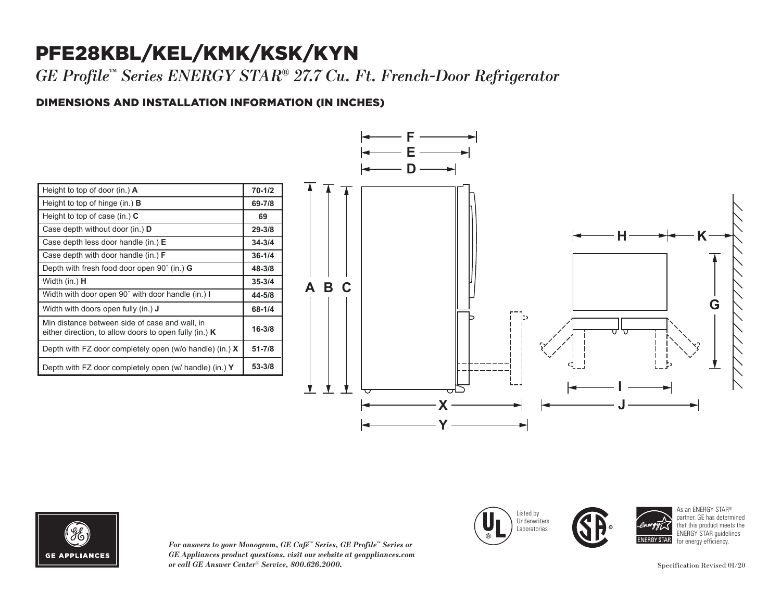## PFE28KBL/KEL/KMK/KSK/KYN

*GE Profile™ Series ENERGY STAR® 27.7 Cu. Ft. French-Door Refrigerator* 

### DIMENSIONS AND INSTALLATION INFORMATION (IN INCHES) **I**

| Height to top of door (in.) $\mathbf{A}$                                                                   | $70 - 1/2$ |
|------------------------------------------------------------------------------------------------------------|------------|
| Height to top of hinge (in.) $\bf{B}$                                                                      | 69-7/8     |
| Height to top of case (in.) $C$                                                                            | 69         |
| Case depth without door (in.) D                                                                            | $29 - 3/8$ |
| Case depth less door handle (in.) $E$                                                                      | $34 - 3/4$ |
| Case depth with door handle (in.) $F$                                                                      | $36 - 1/4$ |
| Depth with fresh food door open $90^{\circ}$ (in.) G                                                       | 48-3/8     |
| Width (in.) <b>H</b>                                                                                       | $35 - 3/4$ |
| Width with door open 90° with door handle (in.) I                                                          | 44-5/8     |
| Width with doors open fully (in.) <b>J</b>                                                                 | 68-1/4     |
| Min distance between side of case and wall, in<br>either direction, to allow doors to open fully (in.) $K$ | $16 - 3/8$ |
| Depth with FZ door completely open (w/o handle) (in.) $X$                                                  | $51 - 7/8$ |
| Depth with FZ door completely open (w/ handle) (in.) Y                                                     | 53-3/8     |





*For answers to your Monogram, GE Café™ Series, GE Profile™ Series or GE Appliances product questions, visit our website at geappliances.com or call GE Answer Center® Service, 800.626.2000.* Specification Revised 01/20







As an ENERGY STAR® partner, GE has determined that this product meets the ENERGY STAR guidelines for energy efficiency.